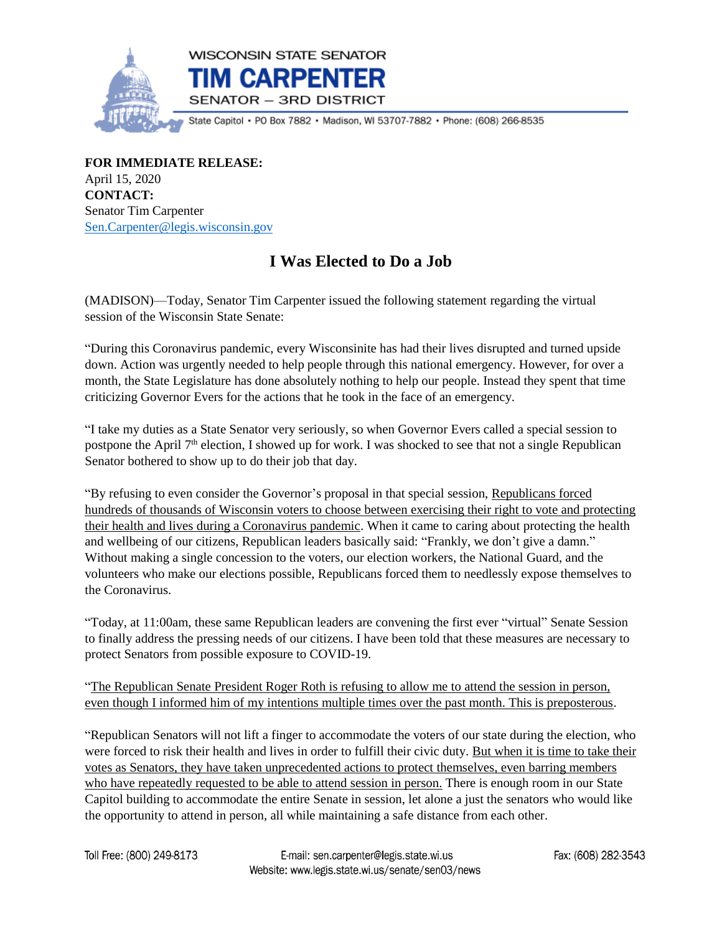

State Capitol • PO Box 7882 • Madison, WI 53707-7882 • Phone: (608) 266-8535

**FOR IMMEDIATE RELEASE:** April 15, 2020 **CONTACT:** Senator Tim Carpenter [Sen.Carpenter@legis.wisconsin.gov](mailto:Sen.Carpenter@legis.wisconsin.gov)

## **I Was Elected to Do a Job**

(MADISON)—Today, Senator Tim Carpenter issued the following statement regarding the virtual session of the Wisconsin State Senate:

"During this Coronavirus pandemic, every Wisconsinite has had their lives disrupted and turned upside down. Action was urgently needed to help people through this national emergency. However, for over a month, the State Legislature has done absolutely nothing to help our people. Instead they spent that time criticizing Governor Evers for the actions that he took in the face of an emergency.

"I take my duties as a State Senator very seriously, so when Governor Evers called a special session to postpone the April 7<sup>th</sup> election, I showed up for work. I was shocked to see that not a single Republican Senator bothered to show up to do their job that day.

"By refusing to even consider the Governor's proposal in that special session, Republicans forced hundreds of thousands of Wisconsin voters to choose between exercising their right to vote and protecting their health and lives during a Coronavirus pandemic. When it came to caring about protecting the health and wellbeing of our citizens, Republican leaders basically said: "Frankly, we don't give a damn." Without making a single concession to the voters, our election workers, the National Guard, and the volunteers who make our elections possible, Republicans forced them to needlessly expose themselves to the Coronavirus.

"Today, at 11:00am, these same Republican leaders are convening the first ever "virtual" Senate Session to finally address the pressing needs of our citizens. I have been told that these measures are necessary to protect Senators from possible exposure to COVID-19.

"The Republican Senate President Roger Roth is refusing to allow me to attend the session in person, even though I informed him of my intentions multiple times over the past month. This is preposterous.

"Republican Senators will not lift a finger to accommodate the voters of our state during the election, who were forced to risk their health and lives in order to fulfill their civic duty. But when it is time to take their votes as Senators, they have taken unprecedented actions to protect themselves, even barring members who have repeatedly requested to be able to attend session in person. There is enough room in our State Capitol building to accommodate the entire Senate in session, let alone a just the senators who would like the opportunity to attend in person, all while maintaining a safe distance from each other.

Toll Free: (800) 249-8173

Fax: (608) 282-3543